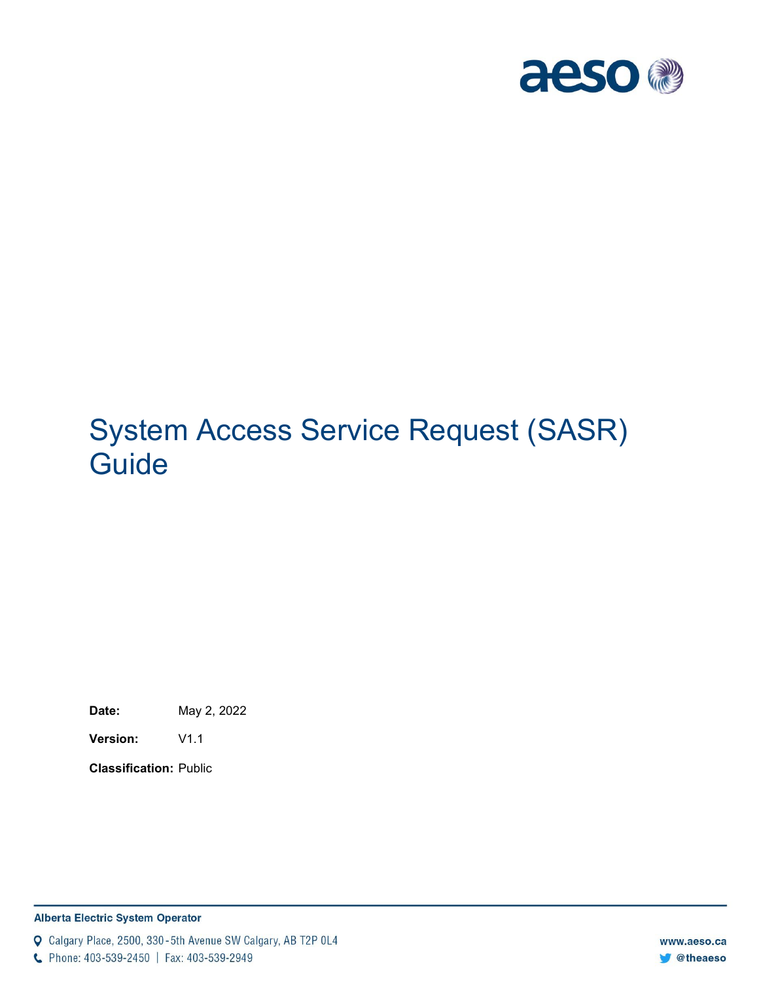

# System Access Service Request (SASR) **Guide**

**Date:** May 2, 2022

**Version:** V1.1

**Classification:** Public

#### **Alberta Electric System Operator**

Q Calgary Place, 2500, 330-5th Avenue SW Calgary, AB T2P 0L4

C Phone: 403-539-2450 | Fax: 403-539-2949

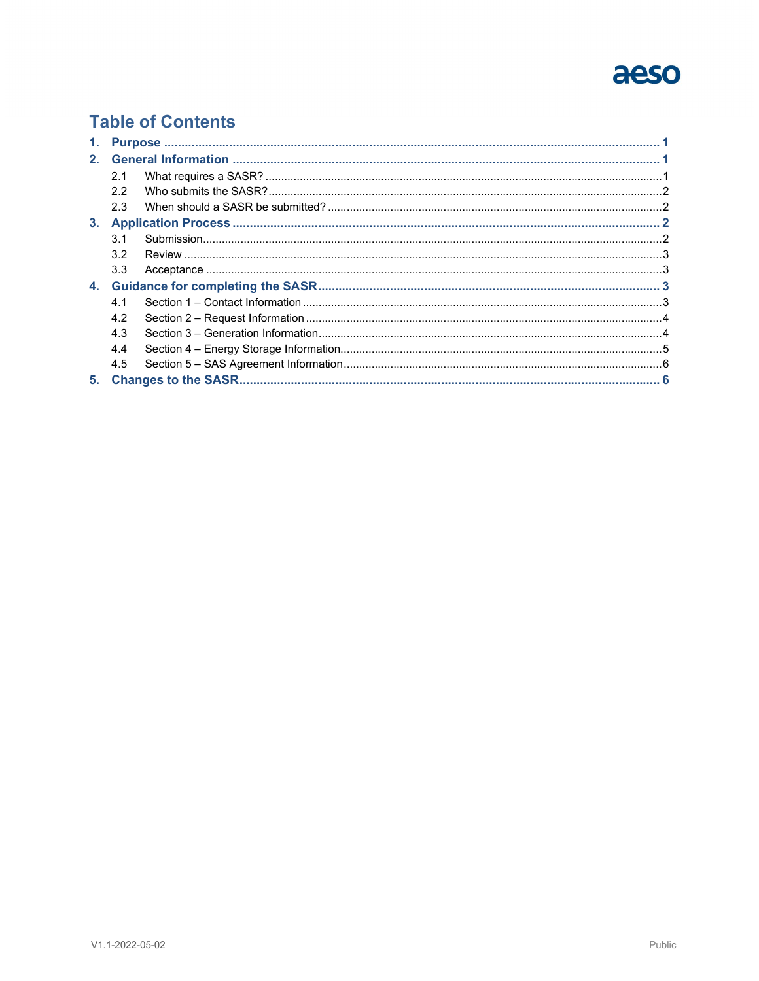# aeso

### **Table of Contents**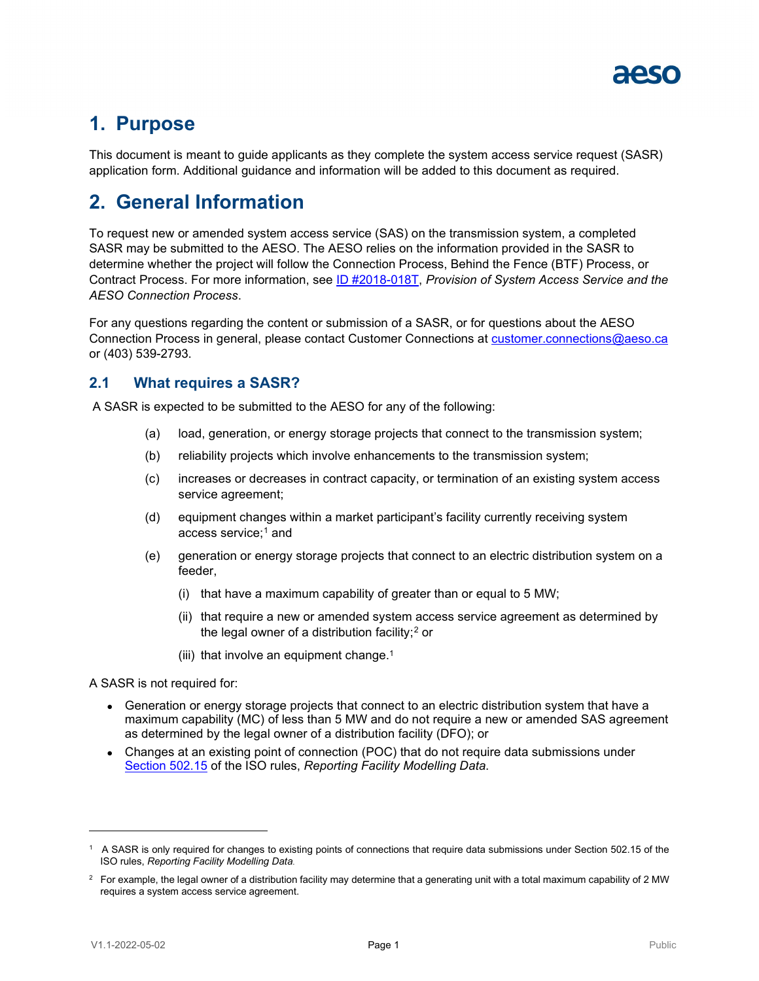

# <span id="page-2-0"></span>**1. Purpose**

This document is meant to guide applicants as they complete the system access service request (SASR) application form. Additional guidance and information will be added to this document as required.

## <span id="page-2-1"></span>**2. General Information**

To request new or amended system access service (SAS) on the transmission system, a completed SASR may be submitted to the AESO. The AESO relies on the information provided in the SASR to determine whether the project will follow the Connection Process, Behind the Fence (BTF) Process, or Contract Process. For more information, see [ID #2018-018T,](https://www.aeso.ca/rules-standards-and-tariff/tariff/id-2018-018t-provision-of-system-access-service-and-the-connection-process/) *Provision of System Access Service and the AESO Connection Process*.

For any questions regarding the content or submission of a SASR, or for questions about the AESO Connection Process in general, please contact Customer Connections at [customer.connections@aeso.ca](mailto:customer.connections@aeso.ca) or (403) 539-2793.

#### <span id="page-2-2"></span>**2.1 What requires a SASR?**

A SASR is expected to be submitted to the AESO for any of the following:

- (a) load, generation, or energy storage projects that connect to the transmission system;
- (b) reliability projects which involve enhancements to the transmission system;
- (c) increases or decreases in contract capacity, or termination of an existing system access service agreement;
- <span id="page-2-3"></span>(d) equipment changes within a market participant's facility currently receiving system access service; $<sup>1</sup>$  $<sup>1</sup>$  $<sup>1</sup>$  and</sup>
- (e) generation or energy storage projects that connect to an electric distribution system on a feeder,
	- (i) that have a maximum capability of greater than or equal to 5 MW;
	- (ii) that require a new or amended system access service agreement as determined by the legal owner of a distribution facility; $2$  or
	- (iii) that involve an equipment change.<sup>1</sup>

A SASR is not required for:

- Generation or energy storage projects that connect to an electric distribution system that have a maximum capability (MC) of less than 5 MW and do not require a new or amended SAS agreement as determined by the legal owner of a distribution facility (DFO); or
- Changes at an existing point of connection (POC) that do not require data submissions under [Section 502.15](https://www.aeso.ca/rules-standards-and-tariff/iso-rules/section-502-15-reporting-facility-modelling-data/) of the ISO rules, *Reporting Facility Modelling Data*.

<span id="page-2-4"></span><sup>1</sup> A SASR is only required for changes to existing points of connections that require data submissions under Section 502.15 of the ISO rules, *Reporting Facility Modelling Data.*

<span id="page-2-5"></span> $^{\rm 2}~$  For example, the legal owner of a distribution facility may determine that a generating unit with a total maximum capability of 2 MW requires a system access service agreement.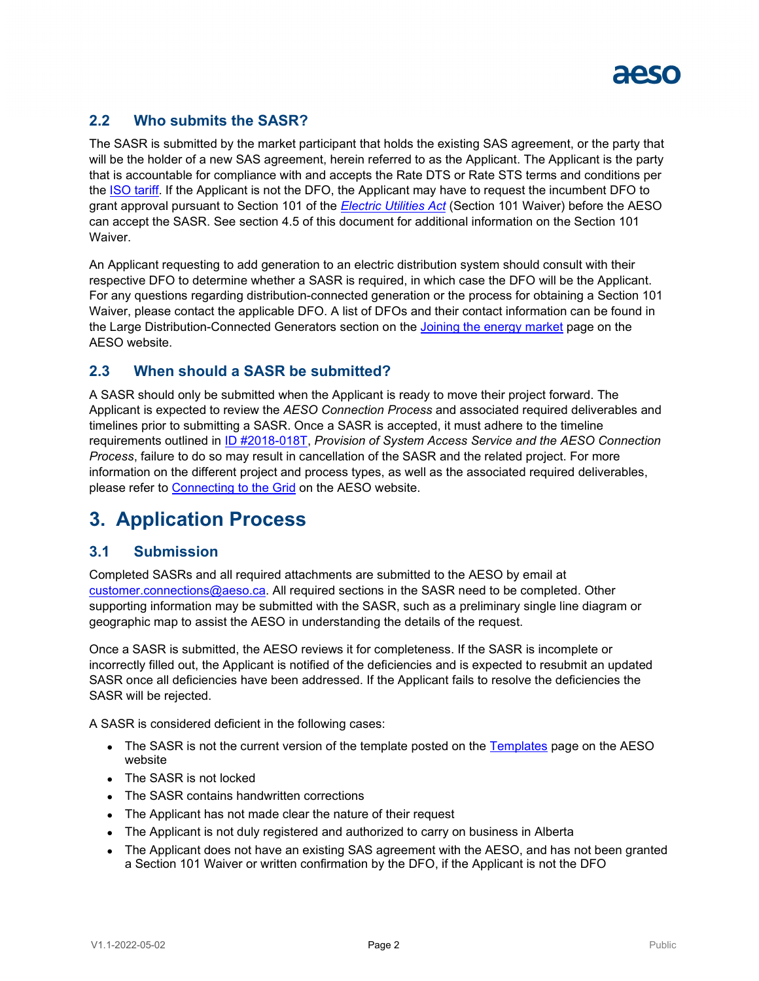

#### <span id="page-3-0"></span>**2.2 Who submits the SASR?**

The SASR is submitted by the market participant that holds the existing SAS agreement, or the party that will be the holder of a new SAS agreement, herein referred to as the Applicant. The Applicant is the party that is accountable for compliance with and accepts the Rate DTS or Rate STS terms and conditions per the **ISO tariff**. If the Applicant is not the DFO, the Applicant may have to request the incumbent DFO to grant approval pursuant to Section 101 of the *[Electric Utilities Act](https://open.alberta.ca/publications/e05p1)* (Section 101 Waiver) before the AESO can accept the SASR. See section 4.5 of this document for additional information on the Section 101 Waiver.

An Applicant requesting to add generation to an electric distribution system should consult with their respective DFO to determine whether a SASR is required, in which case the DFO will be the Applicant. For any questions regarding distribution-connected generation or the process for obtaining a Section 101 Waiver, please contact the applicable DFO. A list of DFOs and their contact information can be found in the Large Distribution-Connected Generators section on the [Joining the energy market](https://www.aeso.ca/market/joining-the-energy-market/) page on the AESO website.

#### <span id="page-3-1"></span>**2.3 When should a SASR be submitted?**

A SASR should only be submitted when the Applicant is ready to move their project forward. The Applicant is expected to review the *AESO Connection Process* and associated required deliverables and timelines prior to submitting a SASR. Once a SASR is accepted, it must adhere to the timeline requirements outlined in [ID #2018-018T,](https://www.aeso.ca/rules-standards-and-tariff/tariff/id-2018-018t-provision-of-system-access-service-and-the-connection-process/) *Provision of System Access Service and the AESO Connection Process*, failure to do so may result in cancellation of the SASR and the related project. For more information on the different project and process types, as well as the associated required deliverables, please refer to [Connecting to the Grid](https://www.aeso.ca/grid/connecting-to-the-grid/) on the AESO website.

### <span id="page-3-2"></span>**3. Application Process**

#### <span id="page-3-3"></span>**3.1 Submission**

Completed SASRs and all required attachments are submitted to the AESO by email at [customer.connections@aeso.ca.](mailto:customer.connections@aeso.ca) All required sections in the SASR need to be completed. Other supporting information may be submitted with the SASR, such as a preliminary single line diagram or geographic map to assist the AESO in understanding the details of the request.

Once a SASR is submitted, the AESO reviews it for completeness. If the SASR is incomplete or incorrectly filled out, the Applicant is notified of the deficiencies and is expected to resubmit an updated SASR once all deficiencies have been addressed. If the Applicant fails to resolve the deficiencies the SASR will be rejected.

A SASR is considered deficient in the following cases:

- The SASR is not the current version of the template posted on the [Templates](https://www.aeso.ca/grid/connecting-to-the-grid/connection-process-templates/) page on the AESO website
- The SASR is not locked
- The SASR contains handwritten corrections
- The Applicant has not made clear the nature of their request
- The Applicant is not duly registered and authorized to carry on business in Alberta
- The Applicant does not have an existing SAS agreement with the AESO, and has not been granted a Section 101 Waiver or written confirmation by the DFO, if the Applicant is not the DFO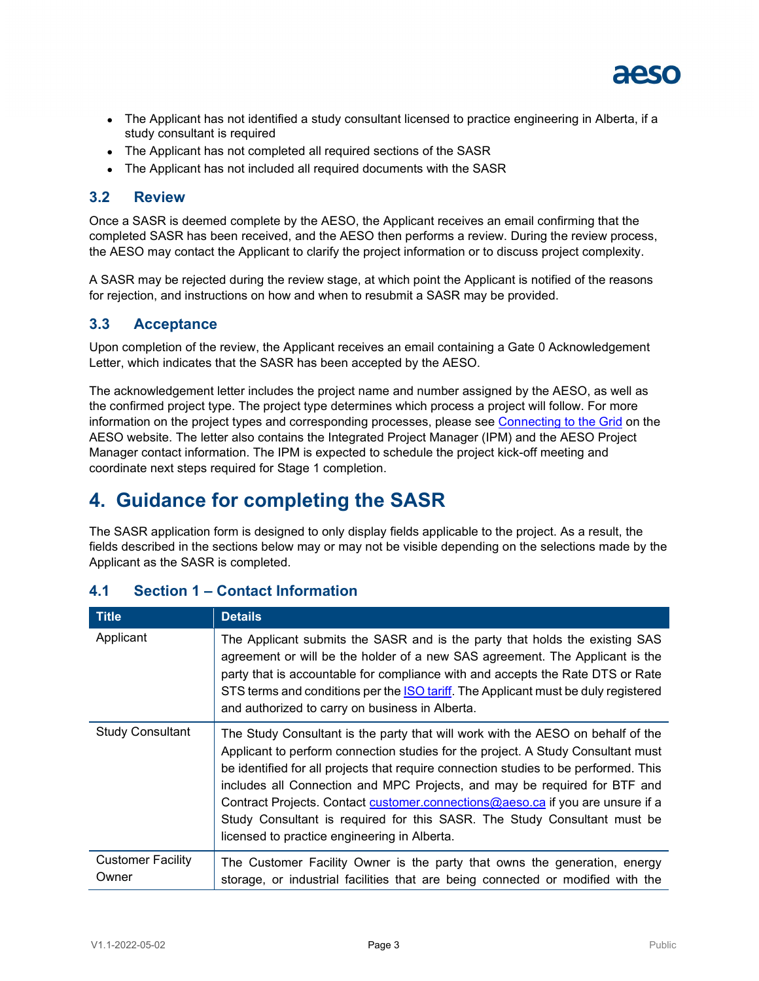

- The Applicant has not identified a study consultant licensed to practice engineering in Alberta, if a study consultant is required
- The Applicant has not completed all required sections of the SASR
- The Applicant has not included all required documents with the SASR

#### <span id="page-4-0"></span>**3.2 Review**

Once a SASR is deemed complete by the AESO, the Applicant receives an email confirming that the completed SASR has been received, and the AESO then performs a review. During the review process, the AESO may contact the Applicant to clarify the project information or to discuss project complexity.

A SASR may be rejected during the review stage, at which point the Applicant is notified of the reasons for rejection, and instructions on how and when to resubmit a SASR may be provided.

#### <span id="page-4-1"></span>**3.3 Acceptance**

Upon completion of the review, the Applicant receives an email containing a Gate 0 Acknowledgement Letter, which indicates that the SASR has been accepted by the AESO.

The acknowledgement letter includes the project name and number assigned by the AESO, as well as the confirmed project type. The project type determines which process a project will follow. For more information on the project types and corresponding processes, please see [Connecting to the Grid](https://www.aeso.ca/grid/connecting-to-the-grid/) on the AESO website. The letter also contains the Integrated Project Manager (IPM) and the AESO Project Manager contact information. The IPM is expected to schedule the project kick-off meeting and coordinate next steps required for Stage 1 completion.

### <span id="page-4-2"></span>**4. Guidance for completing the SASR**

The SASR application form is designed to only display fields applicable to the project. As a result, the fields described in the sections below may or may not be visible depending on the selections made by the Applicant as the SASR is completed.

| <b>Title</b>                      | <b>Details</b>                                                                                                                                                                                                                                                                                                                                                                                                                                                                                                                                         |
|-----------------------------------|--------------------------------------------------------------------------------------------------------------------------------------------------------------------------------------------------------------------------------------------------------------------------------------------------------------------------------------------------------------------------------------------------------------------------------------------------------------------------------------------------------------------------------------------------------|
| Applicant                         | The Applicant submits the SASR and is the party that holds the existing SAS<br>agreement or will be the holder of a new SAS agreement. The Applicant is the<br>party that is accountable for compliance with and accepts the Rate DTS or Rate<br>STS terms and conditions per the <b>ISO tariff</b> . The Applicant must be duly registered<br>and authorized to carry on business in Alberta.                                                                                                                                                         |
| <b>Study Consultant</b>           | The Study Consultant is the party that will work with the AESO on behalf of the<br>Applicant to perform connection studies for the project. A Study Consultant must<br>be identified for all projects that require connection studies to be performed. This<br>includes all Connection and MPC Projects, and may be required for BTF and<br>Contract Projects. Contact customer.connections@aeso.ca if you are unsure if a<br>Study Consultant is required for this SASR. The Study Consultant must be<br>licensed to practice engineering in Alberta. |
| <b>Customer Facility</b><br>Owner | The Customer Facility Owner is the party that owns the generation, energy<br>storage, or industrial facilities that are being connected or modified with the                                                                                                                                                                                                                                                                                                                                                                                           |

#### <span id="page-4-3"></span>**4.1 Section 1 – Contact Information**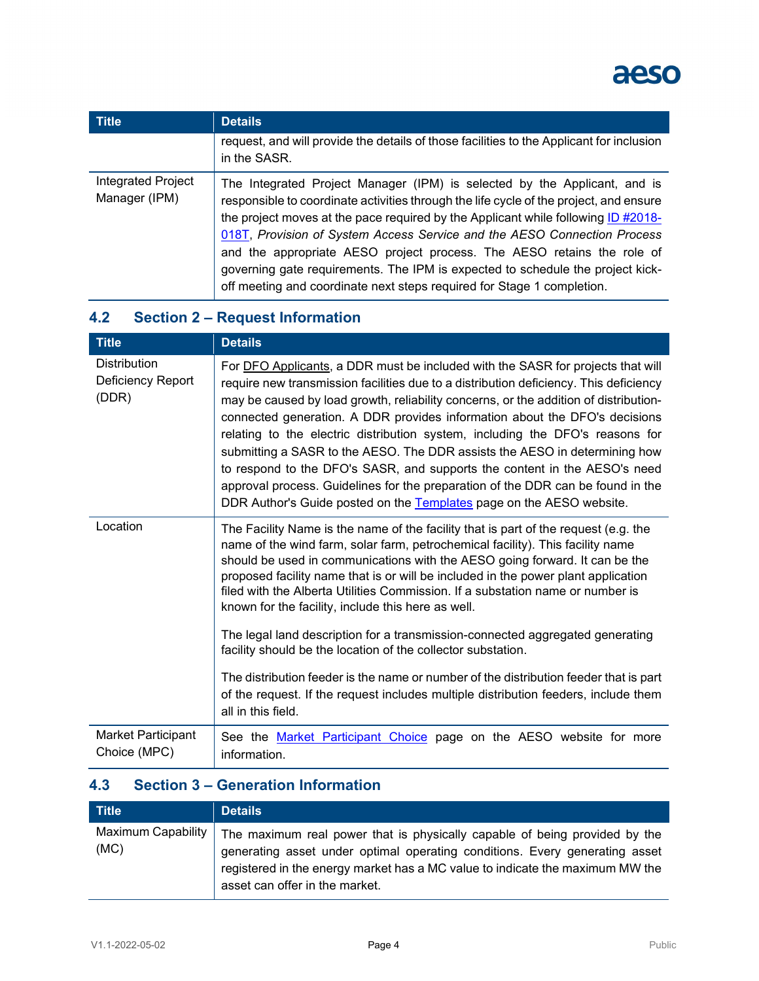

| <b>Title</b>                        | <b>Details</b>                                                                                                                                                                                                                                                                                                                                                                                                                                                                                                                                                             |
|-------------------------------------|----------------------------------------------------------------------------------------------------------------------------------------------------------------------------------------------------------------------------------------------------------------------------------------------------------------------------------------------------------------------------------------------------------------------------------------------------------------------------------------------------------------------------------------------------------------------------|
|                                     | request, and will provide the details of those facilities to the Applicant for inclusion<br>in the SASR.                                                                                                                                                                                                                                                                                                                                                                                                                                                                   |
| Integrated Project<br>Manager (IPM) | The Integrated Project Manager (IPM) is selected by the Applicant, and is<br>responsible to coordinate activities through the life cycle of the project, and ensure<br>the project moves at the pace required by the Applicant while following ID #2018-<br>018T, Provision of System Access Service and the AESO Connection Process<br>and the appropriate AESO project process. The AESO retains the role of<br>governing gate requirements. The IPM is expected to schedule the project kick-<br>off meeting and coordinate next steps required for Stage 1 completion. |

### <span id="page-5-0"></span>**4.2 Section 2 – Request Information**

| <b>Title</b>                                      | <b>Details</b>                                                                                                                                                                                                                                                                                                                                                                                                                                                                                                                                                                                                                                                                                                                                        |
|---------------------------------------------------|-------------------------------------------------------------------------------------------------------------------------------------------------------------------------------------------------------------------------------------------------------------------------------------------------------------------------------------------------------------------------------------------------------------------------------------------------------------------------------------------------------------------------------------------------------------------------------------------------------------------------------------------------------------------------------------------------------------------------------------------------------|
| <b>Distribution</b><br>Deficiency Report<br>(DDR) | For DFO Applicants, a DDR must be included with the SASR for projects that will<br>require new transmission facilities due to a distribution deficiency. This deficiency<br>may be caused by load growth, reliability concerns, or the addition of distribution-<br>connected generation. A DDR provides information about the DFO's decisions<br>relating to the electric distribution system, including the DFO's reasons for<br>submitting a SASR to the AESO. The DDR assists the AESO in determining how<br>to respond to the DFO's SASR, and supports the content in the AESO's need<br>approval process. Guidelines for the preparation of the DDR can be found in the<br>DDR Author's Guide posted on the Templates page on the AESO website. |
| Location                                          | The Facility Name is the name of the facility that is part of the request (e.g. the<br>name of the wind farm, solar farm, petrochemical facility). This facility name<br>should be used in communications with the AESO going forward. It can be the<br>proposed facility name that is or will be included in the power plant application<br>filed with the Alberta Utilities Commission. If a substation name or number is<br>known for the facility, include this here as well.                                                                                                                                                                                                                                                                     |
|                                                   | The legal land description for a transmission-connected aggregated generating<br>facility should be the location of the collector substation.                                                                                                                                                                                                                                                                                                                                                                                                                                                                                                                                                                                                         |
|                                                   | The distribution feeder is the name or number of the distribution feeder that is part<br>of the request. If the request includes multiple distribution feeders, include them<br>all in this field.                                                                                                                                                                                                                                                                                                                                                                                                                                                                                                                                                    |
| <b>Market Participant</b><br>Choice (MPC)         | See the Market Participant Choice page on the AESO website for more<br>information.                                                                                                                                                                                                                                                                                                                                                                                                                                                                                                                                                                                                                                                                   |

### <span id="page-5-1"></span>**4.3 Section 3 – Generation Information**

| $T$ itle | <b>Details</b>                                                                                                                                                                                                                                                                                    |
|----------|---------------------------------------------------------------------------------------------------------------------------------------------------------------------------------------------------------------------------------------------------------------------------------------------------|
| (MC)     | Maximum Capability   The maximum real power that is physically capable of being provided by the<br>generating asset under optimal operating conditions. Every generating asset<br>registered in the energy market has a MC value to indicate the maximum MW the<br>asset can offer in the market. |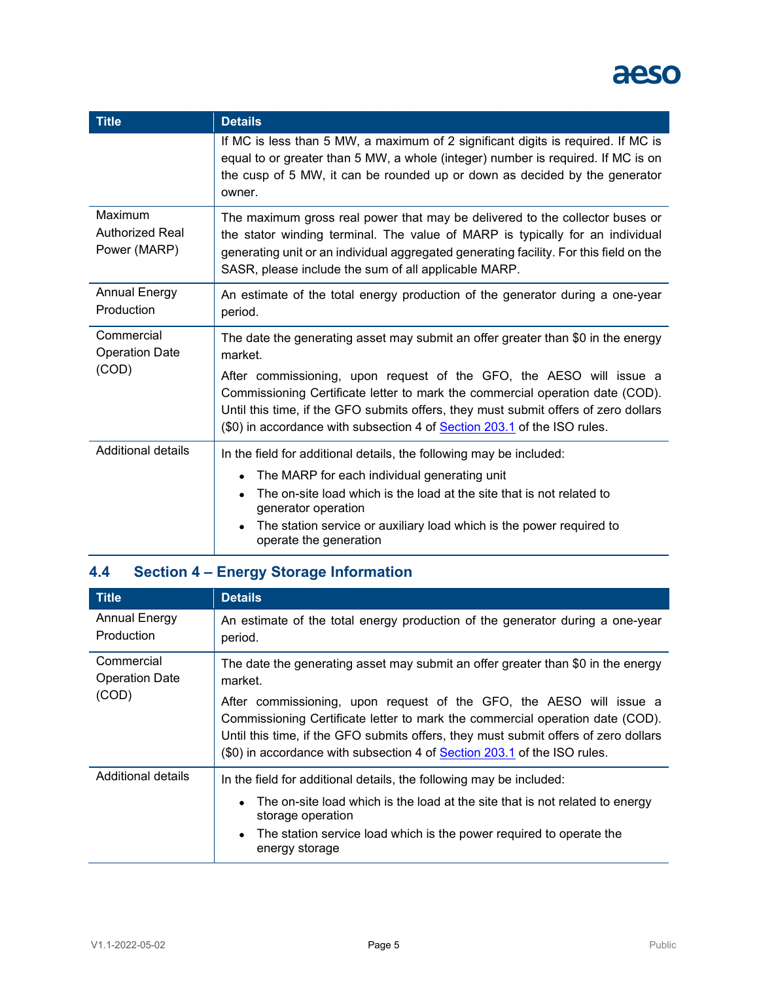

| <b>Title</b>                                            | <b>Details</b>                                                                                                                                                                                                                                                                                                                 |
|---------------------------------------------------------|--------------------------------------------------------------------------------------------------------------------------------------------------------------------------------------------------------------------------------------------------------------------------------------------------------------------------------|
|                                                         | If MC is less than 5 MW, a maximum of 2 significant digits is required. If MC is<br>equal to or greater than 5 MW, a whole (integer) number is required. If MC is on<br>the cusp of 5 MW, it can be rounded up or down as decided by the generator<br>owner.                                                                   |
| Maximum<br><b>Authorized Real</b><br>Power (MARP)       | The maximum gross real power that may be delivered to the collector buses or<br>the stator winding terminal. The value of MARP is typically for an individual<br>generating unit or an individual aggregated generating facility. For this field on the<br>SASR, please include the sum of all applicable MARP.                |
| <b>Annual Energy</b><br>Production                      | An estimate of the total energy production of the generator during a one-year<br>period.                                                                                                                                                                                                                                       |
| Commercial<br><b>Operation Date</b><br>market.<br>(COD) | The date the generating asset may submit an offer greater than \$0 in the energy                                                                                                                                                                                                                                               |
|                                                         | After commissioning, upon request of the GFO, the AESO will issue a<br>Commissioning Certificate letter to mark the commercial operation date (COD).<br>Until this time, if the GFO submits offers, they must submit offers of zero dollars<br>(\$0) in accordance with subsection 4 of <b>Section 203.1</b> of the ISO rules. |
| <b>Additional details</b>                               | In the field for additional details, the following may be included:                                                                                                                                                                                                                                                            |
|                                                         | The MARP for each individual generating unit                                                                                                                                                                                                                                                                                   |
|                                                         | The on-site load which is the load at the site that is not related to<br>generator operation                                                                                                                                                                                                                                   |
|                                                         | The station service or auxiliary load which is the power required to<br>operate the generation                                                                                                                                                                                                                                 |

### <span id="page-6-0"></span>**4.4 Section 4 – Energy Storage Information**

| <b>Title</b>                                 | <b>Details</b>                                                                                                                                                                                                                                                                                                          |
|----------------------------------------------|-------------------------------------------------------------------------------------------------------------------------------------------------------------------------------------------------------------------------------------------------------------------------------------------------------------------------|
| <b>Annual Energy</b><br>Production           | An estimate of the total energy production of the generator during a one-year<br>period.                                                                                                                                                                                                                                |
| Commercial<br><b>Operation Date</b><br>(COD) | The date the generating asset may submit an offer greater than \$0 in the energy<br>market.                                                                                                                                                                                                                             |
|                                              | After commissioning, upon request of the GFO, the AESO will issue a<br>Commissioning Certificate letter to mark the commercial operation date (COD).<br>Until this time, if the GFO submits offers, they must submit offers of zero dollars<br>(\$0) in accordance with subsection 4 of Section 203.1 of the ISO rules. |
| Additional details                           | In the field for additional details, the following may be included:                                                                                                                                                                                                                                                     |
|                                              | The on-site load which is the load at the site that is not related to energy<br>$\bullet$<br>storage operation<br>The station service load which is the power required to operate the<br>energy storage                                                                                                                 |